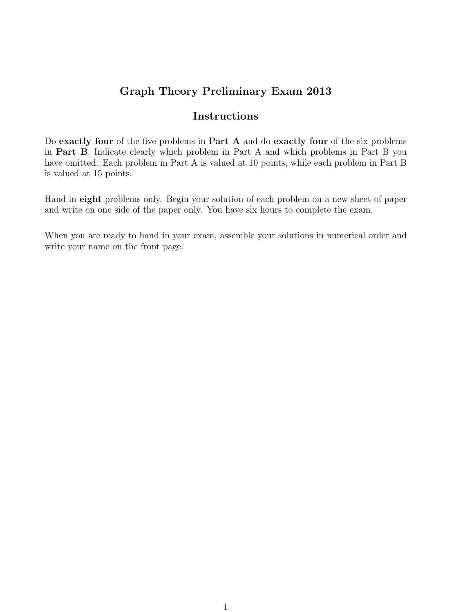## Graph Theory Preliminary Exam 2013

## Instructions

Do exactly four of the five problems in Part A and do exactly four of the six problems in Part B. Indicate clearly which problem in Part A and which problems in Part B you have omitted. Each problem in Part A is valued at 10 points, while each problem in Part B is valued at 15 points.

Hand in eight problems only. Begin your solution of each problem on a new sheet of paper and write on one side of the paper only. You have six hours to complete the exam.

When you are ready to hand in your exam, assemble your solutions in numerical order and write your name on the front page.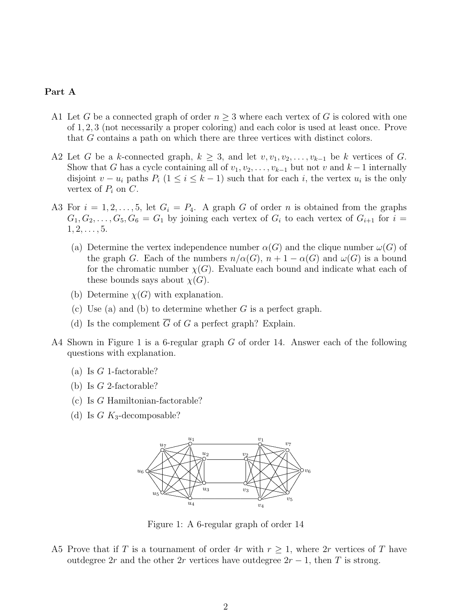## Part A

- A1 Let G be a connected graph of order  $n \geq 3$  where each vertex of G is colored with one of 1, 2, 3 (not necessarily a proper coloring) and each color is used at least once. Prove that G contains a path on which there are three vertices with distinct colors.
- A2 Let G be a k-connected graph,  $k \geq 3$ , and let  $v, v_1, v_2, \ldots, v_{k-1}$  be k vertices of G. Show that G has a cycle containing all of  $v_1, v_2, \ldots, v_{k-1}$  but not v and  $k-1$  internally disjoint  $v - u_i$  paths  $P_i$  (1 ≤  $i \leq k - 1$ ) such that for each i, the vertex  $u_i$  is the only vertex of  $P_i$  on  $C$ .
- A3 For  $i = 1, 2, ..., 5$ , let  $G_i = P_4$ . A graph G of order n is obtained from the graphs  $G_1, G_2, \ldots, G_5, G_6 = G_1$  by joining each vertex of  $G_i$  to each vertex of  $G_{i+1}$  for  $i =$  $1, 2, \ldots, 5.$ 
	- (a) Determine the vertex independence number  $\alpha(G)$  and the clique number  $\omega(G)$  of the graph G. Each of the numbers  $n/\alpha(G)$ ,  $n+1-\alpha(G)$  and  $\omega(G)$  is a bound for the chromatic number  $\chi(G)$ . Evaluate each bound and indicate what each of these bounds says about  $\chi(G)$ .
	- (b) Determine  $\chi(G)$  with explanation.
	- (c) Use (a) and (b) to determine whether  $G$  is a perfect graph.
	- (d) Is the complement  $\overline{G}$  of G a perfect graph? Explain.
- A4 Shown in Figure 1 is a 6-regular graph G of order 14. Answer each of the following questions with explanation.
	- (a) Is  $G$  1-factorable?
	- (b) Is G 2-factorable?
	- (c) Is G Hamiltonian-factorable?
	- (d) Is  $G K_3$ -decomposable?



Figure 1: A 6-regular graph of order 14

A5 Prove that if T is a tournament of order 4r with  $r \geq 1$ , where 2r vertices of T have outdegree 2r and the other 2r vertices have outdegree  $2r - 1$ , then T is strong.